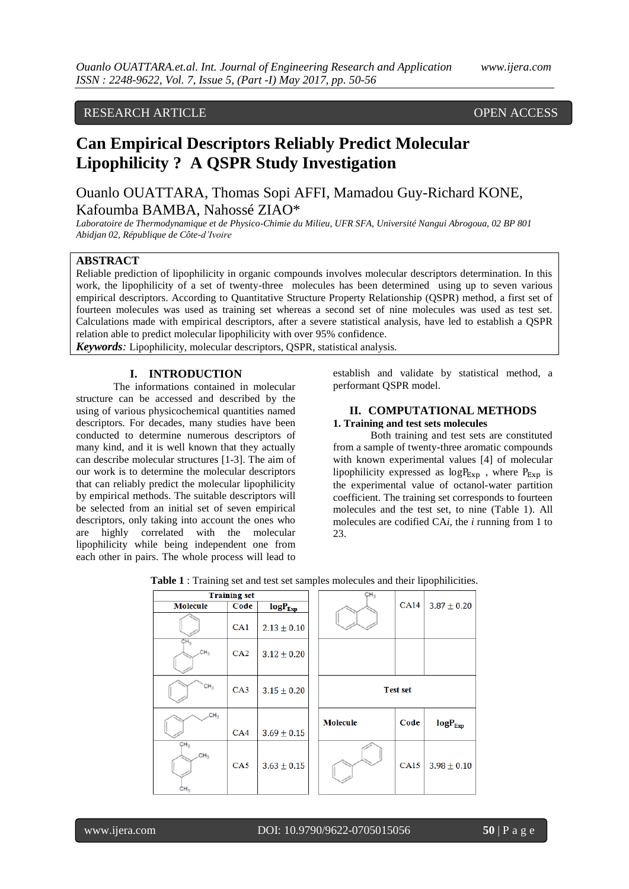# RESEARCH ARTICLE **CONTRACT ARTICLE** AND THE SECRET ACCESS OPEN ACCESS

# **Can Empirical Descriptors Reliably Predict Molecular Lipophilicity ? A QSPR Study Investigation**

Ouanlo OUATTARA, Thomas Sopi AFFI, Mamadou Guy-Richard KONE, Kafoumba BAMBA, Nahossé ZIAO\*

*Laboratoire de Thermodynamique et de Physico-Chimie du Milieu, UFR SFA, Université Nangui Abrogoua, 02 BP 801 Abidjan 02, République de Côte-d'Ivoire*

# **ABSTRACT**

Reliable prediction of lipophilicity in organic compounds involves molecular descriptors determination. In this work, the lipophilicity of a set of twenty-three molecules has been determined using up to seven various empirical descriptors. According to Quantitative Structure Property Relationship (QSPR) method, a first set of fourteen molecules was used as training set whereas a second set of nine molecules was used as test set. Calculations made with empirical descriptors, after a severe statistical analysis, have led to establish a QSPR relation able to predict molecular lipophilicity with over 95% confidence.

*Keywords:* Lipophilicity, molecular descriptors, QSPR, statistical analysis.

# **I. INTRODUCTION**

The informations contained in molecular structure can be accessed and described by the using of various physicochemical quantities named descriptors. For decades, many studies have been conducted to determine numerous descriptors of many kind, and it is well known that they actually can describe molecular structures [1-3]. The aim of our work is to determine the molecular descriptors that can reliably predict the molecular lipophilicity by empirical methods. The suitable descriptors will be selected from an initial set of seven empirical descriptors, only taking into account the ones who are highly correlated with the molecular lipophilicity while being independent one from each other in pairs. The whole process will lead to

establish and validate by statistical method, a performant QSPR model.

# **II. COMPUTATIONAL METHODS**

### **1. Training and test sets molecules**

Both training and test sets are constituted from a sample of twenty-three aromatic compounds with known experimental values [4] of molecular lipophilicity expressed as  $log P_{Exp}$ , where  $P_{Exp}$  is the experimental value of octanol-water partition coefficient. The training set corresponds to fourteen molecules and the test set, to nine (Table 1). All molecules are codified CA*i*, the *i* running from 1 to 23.

|                                                       |                     |                 |                 |                 | $\mathbf{r}$               |
|-------------------------------------------------------|---------------------|-----------------|-----------------|-----------------|----------------------------|
|                                                       | <b>Training set</b> |                 | CH <sub>3</sub> |                 |                            |
| <b>Molecule</b>                                       | Code                | $log P_{Exp}$   |                 | <b>CA14</b>     | $3.87 \pm 0.20$            |
|                                                       | CA1                 | $2.13 \pm 0.10$ |                 |                 |                            |
| CH <sub>3</sub><br>CH <sub>3</sub>                    | CA2                 | $3.12 \pm 0.20$ |                 |                 |                            |
| CH <sub>3</sub>                                       | CA3                 | $3.15 \pm 0.20$ |                 | <b>Test set</b> |                            |
| CH <sub>3</sub>                                       | CA4                 | $3.69 \pm 0.15$ | <b>Molecule</b> | Code            | $\text{log}P_{\text{Exp}}$ |
| CH <sub>3</sub><br>CH <sub>3</sub><br>CH <sub>3</sub> | CA5                 | $3.63 \pm 0.15$ |                 | <b>CA15</b>     | $3.98 \pm 0.10$            |

|  | Table 1 : Training set and test set samples molecules and their lipophilicities. |  |
|--|----------------------------------------------------------------------------------|--|
|--|----------------------------------------------------------------------------------|--|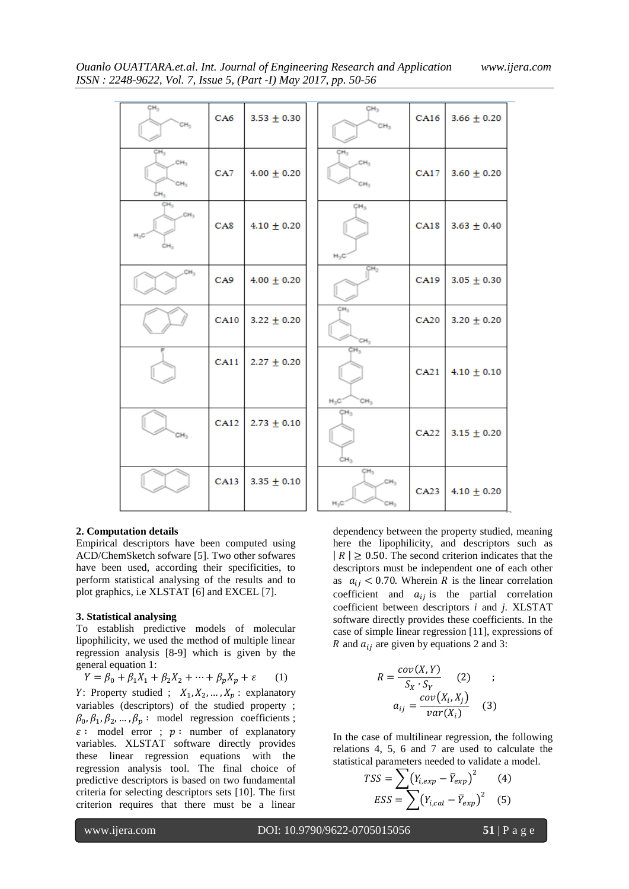| CH <sub>3</sub><br>CH <sub>3</sub>                           | CA6             | $3.53 \pm 0.30$ | CH <sub>3</sub><br>CH <sub>3</sub>                              | CA16 | $3.66 \pm 0.20$ |
|--------------------------------------------------------------|-----------------|-----------------|-----------------------------------------------------------------|------|-----------------|
| CH <sub>3</sub><br>CH <sub>3</sub><br>CH <sub>3</sub><br>ĊН, | CA7             | $4.00 \pm 0.20$ | CH <sub>3</sub><br>CH <sub>3</sub><br>CH <sub>3</sub>           | CA17 | $3.60 \pm 0.20$ |
| CH <sub>3</sub><br>CH <sub>3</sub><br>$H_2C$                 | CA <sub>8</sub> | $4.10 \pm 0.20$ | CH <sub>3</sub><br>$H_3C$                                       | CA18 | $3.63 \pm 0.40$ |
| CH <sub>3</sub>                                              | CA9             | $4.00 \pm 0.20$ | CH <sub>2</sub>                                                 | CA19 | $3.05 \pm 0.30$ |
|                                                              | <b>CA10</b>     | $3.22 \pm 0.20$ | CH <sub>3</sub><br>CH <sub>3</sub>                              | CA20 | $3.20 \pm 0.20$ |
|                                                              | CA11            | $2.27 \pm 0.20$ | ¢н,<br>$H_3C$<br>CH <sub>3</sub>                                | CA21 | $4.10 \pm 0.10$ |
| CH <sub>3</sub>                                              | CA12            | $2.73 \pm 0.10$ | CH <sub>3</sub><br>CH <sub>3</sub>                              | CA22 | $3.15 \pm 0.20$ |
|                                                              | CA13            | $3.35 \pm 0.10$ | CH <sub>3</sub><br>CH <sub>3</sub><br>$H_3C$<br>CH <sub>3</sub> | CA23 | $4.10 \pm 0.20$ |

#### **2. Computation details**

Empirical descriptors have been computed using ACD/ChemSketch sofware [5]. Two other sofwares have been used, according their specificities, to perform statistical analysing of the results and to plot graphics, i.e XLSTAT [6] and EXCEL [7].

### **3. Statistical analysing**

To establish predictive models of molecular lipophilicity, we used the method of multiple linear regression analysis [8-9] which is given by the general equation 1:

 $Y = \beta_0 + \beta_1 X_1 + \beta_2 X_2 + \dots + \beta_p X_p + \varepsilon$  (1) Y: Property studied ;  $X_1, X_2, ..., X_p$ : explanatory variables (descriptors) of the studied property ;  $\beta_0$ ,  $\beta_1$ ,  $\beta_2$ , ...,  $\beta_p$ : model regression coefficients;  $\varepsilon$ : model error ;  $p$ : number of explanatory variables. XLSTAT software directly provides these linear regression equations with the regression analysis tool. The final choice of predictive descriptors is based on two fundamental criteria for selecting descriptors sets [10]. The first criterion requires that there must be a linear

dependency between the property studied, meaning here the lipophilicity, and descriptors such as  $|R| \geq 0.50$ . The second criterion indicates that the descriptors must be independent one of each other as  $a_{ij} < 0.70$ . Wherein R is the linear correlation coefficient and  $a_{ij}$  is the partial correlation coefficient between descriptors *i* and *j*. XLSTAT software directly provides these coefficients. In the case of simple linear regression [11], expressions of R and  $a_{ij}$  are given by equations 2 and 3:

$$
R = \frac{cov(X, Y)}{S_X \cdot S_Y}
$$
 (2) ;  
\n
$$
a_{ij} = \frac{cov(X_i, X_j)}{var(X_i)}
$$
 (3)

In the case of multilinear regression, the following relations 4, 5, 6 and 7 are used to calculate the statistical parameters needed to validate a model.

$$
TSS = \sum (Y_{i,exp} - \overline{Y}_{exp})^2
$$
 (4)  

$$
ESS = \sum (Y_{i,cal} - \overline{Y}_{exp})^2
$$
 (5)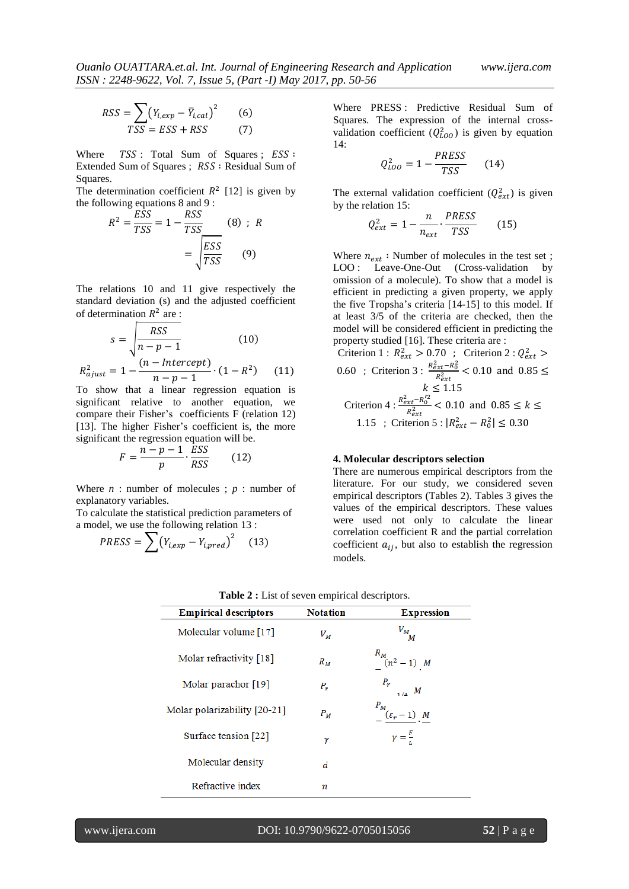$$
RSS = \sum_{TSS} (Y_{i,exp} - \overline{Y}_{i,cal})^2
$$
 (6)

Where  $TSS$ : Total Sum of Squares;  $ESS$ : Extended Sum of Squares ; RSS : Residual Sum of Squares.

The determination coefficient  $R^2$  [12] is given by the following equations 8 and 9 :

$$
R^{2} = \frac{ESS}{TSS} = 1 - \frac{RSS}{TSS}
$$
 (8) ; R  
= 
$$
\sqrt{\frac{ESS}{TSS}}
$$
 (9)

The relations 10 and 11 give respectively the standard deviation (s) and the adjusted coefficient of determination  $R^2$  are :

$$
s = \sqrt{\frac{RSS}{n - p - 1}} \qquad (10)
$$

$$
R_{ajust}^2 = 1 - \frac{(n - Intercept)}{n - p - 1} \cdot (1 - R^2) \qquad (11)
$$

To show that a linear regression equation is significant relative to another equation, we compare their Fisher's coefficients F (relation 12) [13]. The higher Fisher's coefficient is, the more significant the regression equation will be.

$$
F = \frac{n - p - 1}{p} \cdot \frac{ESS}{RSS} \tag{12}
$$

Where  $n:$  number of molecules ;  $p:$  number of explanatory variables.

To calculate the statistical prediction parameters of a model, we use the following relation 13 :

$$
PRESS = \sum (Y_{i,exp} - Y_{i,pred})^2
$$
 (13)

Where PRESS : Predictive Residual Sum of Squares. The expression of the internal crossvalidation coefficient  $(Q_{LOO}^2)$  is given by equation 14:

$$
Q_{LOO}^2 = 1 - \frac{PRESS}{TSS} \qquad (14)
$$

The external validation coefficient  $(Q_{ext}^2)$  is given by the relation 15:  $DDQQ$ 

$$
Q_{ext}^2 = 1 - \frac{n}{n_{ext}} \cdot \frac{PRESS}{TSS}
$$
 (15)

Where  $n_{ext}$ : Number of molecules in the test set; LOO : Leave-One-Out (Cross-validation by omission of a molecule). To show that a model is efficient in predicting a given property, we apply the five Tropsha's criteria [14-15] to this model. If at least 3/5 of the criteria are checked, then the model will be considered efficient in predicting the property studied [16]. These criteria are :

Criterion 1 :  $R_{ext}^2 > 0.70$  ; Criterion 2 :  $Q_e^2$ 0.60 ; Criterion 3 :  $\frac{R_{ext}^2 - R_0^2}{R_{ext}^2}$  $R_\rho^2$  $\boldsymbol{k}$ Criterion 4 :  $\frac{R_{ext}^2 - R_0^2}{R_0^2}$  $R_\rho^2$ 1.15 ; Criterion 5 :  $|R_{ext}^2 - R_0^2|$ 

## **4. Molecular descriptors selection**

There are numerous empirical descriptors from the literature. For our study, we considered seven empirical descriptors (Tables 2). Tables 3 gives the values of the empirical descriptors. These values were used not only to calculate the linear correlation coefficient R and the partial correlation coefficient  $a_{ij}$ , but also to establish the regression models.

| <b>Empirical descriptors</b> | <b>Notation</b> | <b>Expression</b>                                  |
|------------------------------|-----------------|----------------------------------------------------|
| Molecular volume [17]        | $V_M$           | $V_{M_{\stackrel{\phantom{.}}{M}}}$                |
| Molar refractivity [18]      | $R_M$           | $R_{M(n^2-1) M}$                                   |
| Molar parachor [19]          | $P_r$           | $P_r$<br>$1/4$ M                                   |
| Molar polarizability [20-21] | $P_M$           | $\frac{P_M}{2}(\varepsilon_r-1)$ . $\underline{M}$ |
| Surface tension [22]         | ν               | $\gamma = \frac{F}{l}$                             |
| Molecular density            | d               |                                                    |
| Refractive index             | n               |                                                    |

|  |  |  |  |  | Table 2 : List of seven empirical descriptors. |
|--|--|--|--|--|------------------------------------------------|
|--|--|--|--|--|------------------------------------------------|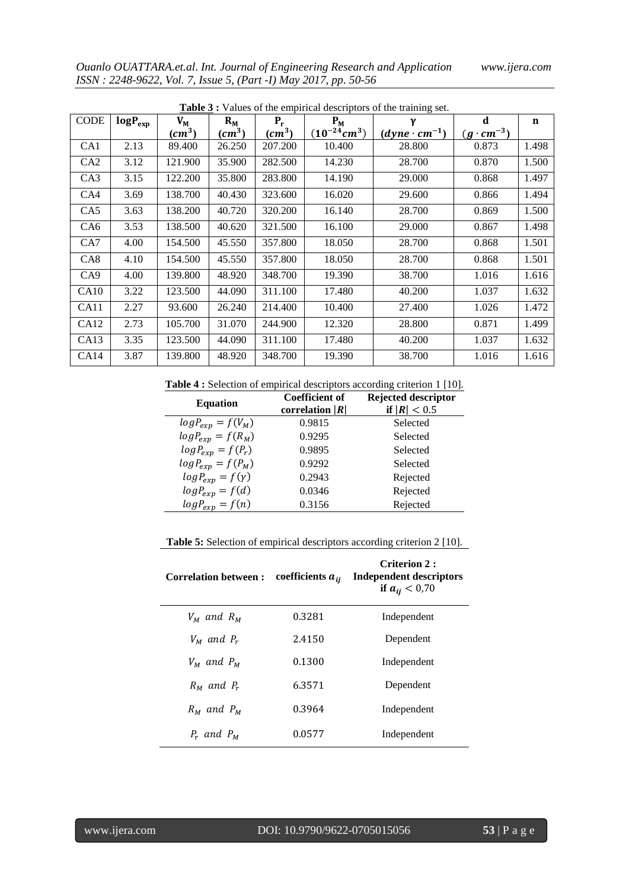| <b>CODE</b>      | $logP_{exp}$ | $V_{\rm M}$                  | $R_{M}$                    | $P_{r}$  | $P_M$            | γ                      | d                   | n     |
|------------------|--------------|------------------------------|----------------------------|----------|------------------|------------------------|---------------------|-------|
|                  |              | $\left(\textit{cm}^3\right)$ | $\left(\text{cm}^3\right)$ | $(cm^3)$ | $(10^{-24}cm^3)$ | $(dyne \cdot cm^{-1})$ | $(g \cdot cm^{-3})$ |       |
| CA1              | 2.13         | 89.400                       | 26.250                     | 207.200  | 10.400           | 28.800                 | 0.873               | 1.498 |
| CA <sub>2</sub>  | 3.12         | 121.900                      | 35.900                     | 282.500  | 14.230           | 28.700                 | 0.870               | 1.500 |
| CA3              | 3.15         | 122.200                      | 35.800                     | 283.800  | 14.190           | 29.000                 | 0.868               | 1.497 |
| CA4              | 3.69         | 138.700                      | 40.430                     | 323.600  | 16.020           | 29.600                 | 0.866               | 1.494 |
| CA5              | 3.63         | 138.200                      | 40.720                     | 320.200  | 16.140           | 28.700                 | 0.869               | 1.500 |
| CA6              | 3.53         | 138.500                      | 40.620                     | 321.500  | 16.100           | 29.000                 | 0.867               | 1.498 |
| CA7              | 4.00         | 154.500                      | 45.550                     | 357.800  | 18.050           | 28.700                 | 0.868               | 1.501 |
| CA8              | 4.10         | 154.500                      | 45.550                     | 357.800  | 18.050           | 28.700                 | 0.868               | 1.501 |
| CA <sub>9</sub>  | 4.00         | 139.800                      | 48.920                     | 348.700  | 19.390           | 38.700                 | 1.016               | 1.616 |
| CA10             | 3.22         | 123.500                      | 44.090                     | 311.100  | 17.480           | 40.200                 | 1.037               | 1.632 |
| CA11             | 2.27         | 93.600                       | 26.240                     | 214.400  | 10.400           | 27.400                 | 1.026               | 1.472 |
| CA <sub>12</sub> | 2.73         | 105.700                      | 31.070                     | 244.900  | 12.320           | 28.800                 | 0.871               | 1.499 |
| CA13             | 3.35         | 123.500                      | 44.090                     | 311.100  | 17.480           | 40.200                 | 1.037               | 1.632 |
| CA14             | 3.87         | 139.800                      | 48.920                     | 348.700  | 19.390           | 38.700                 | 1.016               | 1.616 |

**Table 3 ·** Values of the empirical descriptors of the training set.

**Table 4 :** Selection of empirical descriptors according criterion 1 [10].

| <b>Equation</b>           | <b>Coefficient of</b><br>correlation $ R $ | <b>Rejected descriptor</b><br>if $ R  < 0.5$ |
|---------------------------|--------------------------------------------|----------------------------------------------|
| $log P_{exp} = f(V_M)$    | 0.9815                                     | Selected                                     |
| $log P_{exp} = f(R_M)$    | 0.9295                                     | Selected                                     |
| $log P_{exp} = f(P_r)$    | 0.9895                                     | Selected                                     |
| $log P_{exp} = f(P_M)$    | 0.9292                                     | Selected                                     |
| $log P_{exp} = f(\gamma)$ | 0.2943                                     | Rejected                                     |
| $log P_{exp} = f(d)$      | 0.0346                                     | Rejected                                     |
| $log P_{exp} = f(n)$      | 0.3156                                     | Rejected                                     |
|                           |                                            |                                              |

**Table 5:** Selection of empirical descriptors according criterion 2 [10].

| <b>Correlation between:</b> | coefficients $a_{ii}$ | Criterion 2:<br>Independent descriptors<br>if $a_{ii} < 0.70$ |
|-----------------------------|-----------------------|---------------------------------------------------------------|
| $V_M$ and $R_M$             | 0.3281                | Independent                                                   |
| $V_M$ and $P_r$             | 2.4150                | Dependent                                                     |
| $V_M$ and $P_M$             | 0.1300                | Independent                                                   |
| $R_M$ and $P_r$             | 6.3571                | Dependent                                                     |
| $R_M$ and $P_M$             | 0.3964                | Independent                                                   |
| $P_r$ and $P_M$             | 0.0577                | Independent                                                   |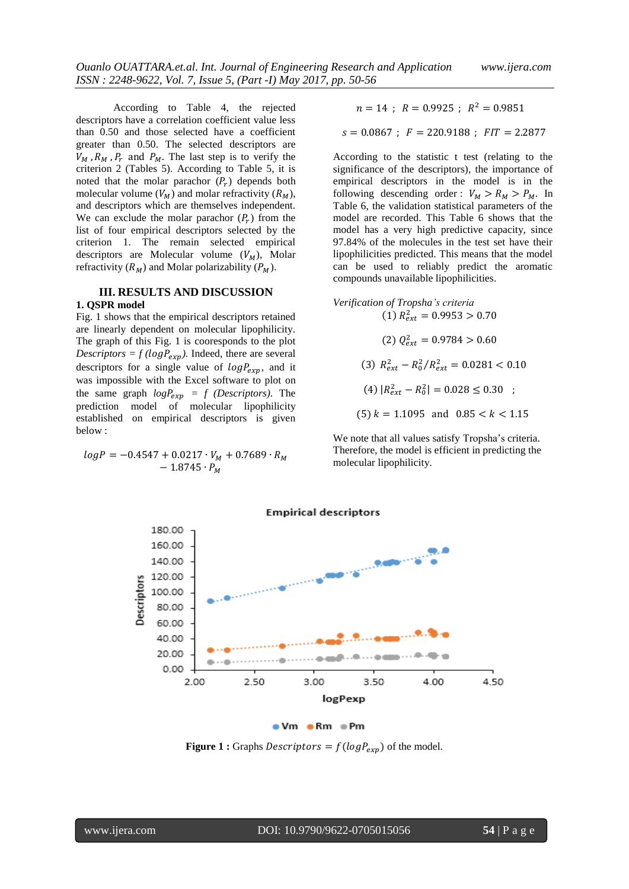According to Table 4, the rejected descriptors have a correlation coefficient value less than 0.50 and those selected have a coefficient greater than 0.50. The selected descriptors are  $V_M$ ,  $R_M$ ,  $P_r$  and  $P_M$ . The last step is to verify the criterion 2 (Tables 5). According to Table 5, it is noted that the molar parachor  $(P_r)$  depends both molecular volume  $(V_M)$  and molar refractivity  $(R_M)$ , and descriptors which are themselves independent. We can exclude the molar parachor  $(P_r)$  from the list of four empirical descriptors selected by the criterion 1. The remain selected empirical descriptors are Molecular volume  $(V_M)$ , Molar refractivity  $(R_M)$  and Molar polarizability  $(P_M)$ .

#### **III. RESULTS AND DISCUSSION 1. QSPR model**

Fig. 1 shows that the empirical descriptors retained are linearly dependent on molecular lipophilicity. The graph of this Fig. 1 is cooresponds to the plot *Descriptors* =  $f(logP_{exp})$ . Indeed, there are several descriptors for a single value of  $log P_{exp}$ , and it was impossible with the Excel software to plot on the same graph  $logP_{exp} = f$  (*Descriptors*). The prediction model of molecular lipophilicity established on empirical descriptors is given below :

$$
logP = -0.4547 + 0.0217 \cdot V_M + 0.7689 \cdot R_M - 1.8745 \cdot P_M
$$

$$
n=14 \ ; \ R=0.9925 \ ; \ R^2=0.9851
$$

$$
s = 0.0867
$$
;  $F = 220.9188$ ;  $FIT = 2.2877$ 

According to the statistic t test (relating to the significance of the descriptors), the importance of empirical descriptors in the model is in the following descending order :  $V_M > R_M > P_M$ . In Table 6, the validation statistical parameters of the model are recorded. This Table 6 shows that the model has a very high predictive capacity, since 97.84% of the molecules in the test set have their lipophilicities predicted. This means that the model can be used to reliably predict the aromatic compounds unavailable lipophilicities.

*Verification of Tropsha's criteria*  
\n(1) 
$$
R_{ext}^2 = 0.9953 > 0.70
$$
  
\n(2)  $Q_{ext}^2 = 0.9784 > 0.60$   
\n(3)  $R_{ext}^2 - R_0^2/R_{ext}^2 = 0.0281 < 0.10$   
\n(4)  $|R_{ext}^2 - R_0^2| = 0.028 \le 0.30$  ;  
\n(5)  $k = 1.1095$  and  $0.85 < k < 1.15$ 

We note that all values satisfy Tropsha's criteria. Therefore, the model is efficient in predicting the molecular lipophilicity.

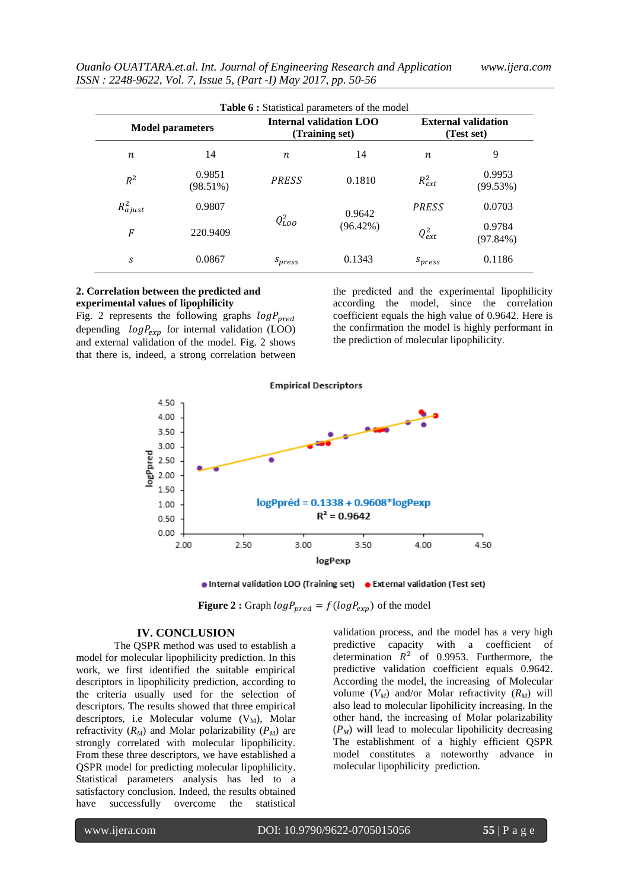| <i><b>Ouanlo OUATTARA.et.al. Int. Journal of Engineering Research and Application</b></i> |  |
|-------------------------------------------------------------------------------------------|--|
| ISSN : 2248-9622, Vol. 7, Issue 5, (Part -I) May 2017, pp. 50-56                          |  |

| <b>Model parameters</b> |                    | <b>Internal validation LOO</b><br>(Training set) |             | <b>External validation</b><br>(Test set) |                    |
|-------------------------|--------------------|--------------------------------------------------|-------------|------------------------------------------|--------------------|
| n                       | 14                 | n                                                | 14          | $\boldsymbol{n}$                         | 9                  |
| $R^2$                   | 0.9851<br>(98.51%) | <b>PRESS</b>                                     | 0.1810      | $R_{ext}^2$                              | 0.9953<br>(99.53%) |
| $R_{ajust}^2$           | 0.9807             |                                                  | 0.9642      | <b>PRESS</b>                             | 0.0703             |
| $\overline{F}$          | 220.9409           | $Q_{LOO}^2$                                      | $(96.42\%)$ | $Q_{ext}^2$                              | 0.9784<br>(97.84%) |
| S                       | 0.0867             | $S_{press}$                                      | 0.1343      | $S_{press}$                              | 0.1186             |

# **2. Correlation between the predicted and experimental values of lipophilicity**

Fig. 2 represents the following graphs  $logP_{pred}$ depending  $log P_{exp}$  for internal validation (LOO) and external validation of the model. Fig. 2 shows that there is, indeed, a strong correlation between

the predicted and the experimental lipophilicity according the model, since the correlation coefficient equals the high value of 0.9642. Here is the confirmation the model is highly performant in the prediction of molecular lipophilicity.



. Internal validation LOO (Training set) . External validation (Test set)

**Figure 2** : Graph  $logP_{pred} = f(logP_{exp})$  of the model

# **IV. CONCLUSION**

The QSPR method was used to establish a model for molecular lipophilicity prediction. In this work, we first identified the suitable empirical descriptors in lipophilicity prediction, according to the criteria usually used for the selection of descriptors. The results showed that three empirical descriptors, i.e Molecular volume  $(V_M)$ , Molar refractivity  $(R_M)$  and Molar polarizability  $(P_M)$  are strongly correlated with molecular lipophilicity. From these three descriptors, we have established a QSPR model for predicting molecular lipophilicity. Statistical parameters analysis has led to a satisfactory conclusion. Indeed, the results obtained have successfully overcome the statistical

validation process, and the model has a very high predictive capacity with a coefficient of determination  $R^2$  of 0.9953. Furthermore, the predictive validation coefficient equals 0.9642. According the model, the increasing of Molecular volume  $(V_M)$  and/or Molar refractivity  $(R_M)$  will also lead to molecular lipohilicity increasing. In the other hand, the increasing of Molar polarizability  $(P_M)$  will lead to molecular lipohilicity decreasing The establishment of a highly efficient QSPR model constitutes a noteworthy advance in molecular lipophilicity prediction.